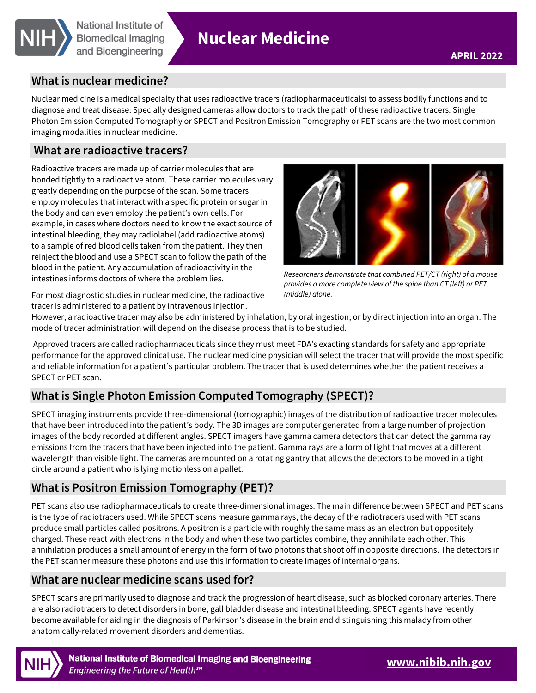

# **Nuclear Medicine**

### **What is nuclear medicine?**

Nuclear medicine is a medical specialty that uses radioactive tracers (radiopharmaceuticals) to assess bodily functions and to diagnose and treat disease. Specially designed cameras allow doctors to track the path of these radioactive tracers. Single Photon Emission Computed Tomography or SPECT and Positron Emission Tomography or PET scans are the two most common imaging modalities in nuclear medicine.

### **What are radioactive tracers?**

Radioactive tracers are made up of carrier molecules that are bonded tightly to a radioactive atom. These carrier molecules vary greatly depending on the purpose of the scan. Some tracers employ molecules that interact with a specific protein or sugar in the body and can even employ the patient's own cells. For example, in cases where doctors need to know the exact source of intestinal bleeding, they may radiolabel (add radioactive atoms) to a sample of red blood cells taken from the patient. They then reinject the blood and use a SPECT scan to follow the path of the blood in the patient. Any accumulation of radioactivity in the intestines informs doctors of where the problem lies.



Researchers demonstrate that combined PET/CT (right) of a mouse provides a more complete view of the spine than CT (left) or PET (middle) alone.

For most diagnostic studies in nuclear medicine, the radioactive tracer is administered to a patient by intravenous injection.

However, a radioactive tracer may also be administered by inhalation, by oral ingestion, or by direct injection into an organ. The mode of tracer administration will depend on the disease process that is to be studied.

Approved tracers are called radiopharmaceuticals since they must meet FDA's exacting standards for safety and appropriate performance for the approved clinical use. The nuclear medicine physician will select the tracer that will provide the most specific and reliable information for a patient's particular problem. The tracer that is used determines whether the patient receives a SPECT or PET scan.

# **What is Single Photon Emission Computed Tomography (SPECT)?**

SPECT imaging instruments provide three-dimensional (tomographic) images of the distribution of radioactive tracer molecules that have been introduced into the patient's body. The 3D images are computer generated from a large number of projection images of the body recorded at different angles. SPECT imagers have gamma camera detectors that can detect the gamma ray emissions from the tracers that have been injected into the patient. Gamma rays are a form of light that moves at a different wavelength than visible light. The cameras are mounted on a rotating gantry that allows the detectors to be moved in a tight circle around a patient who is lying motionless on a pallet.

# **What is Positron Emission Tomography (PET)?**

PET scans also use radiopharmaceuticals to create three-dimensional images. The main difference between SPECT and PET scans is the type of radiotracers used. While SPECT scans measure gamma rays, the decay of the radiotracers used with PET scans produce small particles called positrons. A positron is a particle with roughly the same mass as an electron but oppositely charged. These react with electrons in the body and when these two particles combine, they annihilate each other. This annihilation produces a small amount of energy in the form of two photons that shoot off in opposite directions. The detectors in the PET scanner measure these photons and use this information to create images of internal organs.

### **What are nuclear medicine scans used for?**

SPECT scans are primarily used to diagnose and track the progression of heart disease, such as blocked coronary arteries. There are also radiotracers to detect disorders in bone, gall bladder disease and intestinal bleeding. SPECT agents have recently become available for aiding in the diagnosis of Parkinson's disease in the brain and distinguishing this malady from other anatomically-related movement disorders and dementias.